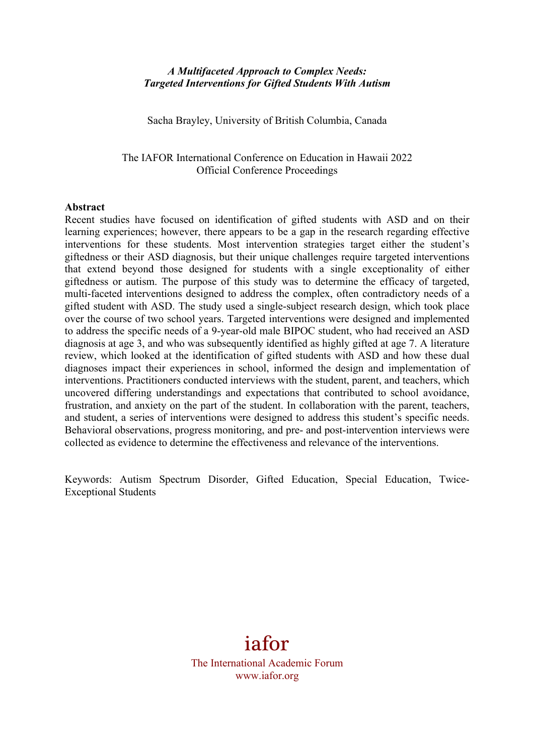# *A Multifaceted Approach to Complex Needs: Targeted Interventions for Gifted Students With Autism*

Sacha Brayley, University of British Columbia, Canada

The IAFOR International Conference on Education in Hawaii 2022 Official Conference Proceedings

#### **Abstract**

Recent studies have focused on identification of gifted students with ASD and on their learning experiences; however, there appears to be a gap in the research regarding effective interventions for these students. Most intervention strategies target either the student's giftedness or their ASD diagnosis, but their unique challenges require targeted interventions that extend beyond those designed for students with a single exceptionality of either giftedness or autism. The purpose of this study was to determine the efficacy of targeted, multi-faceted interventions designed to address the complex, often contradictory needs of a gifted student with ASD. The study used a single-subject research design, which took place over the course of two school years. Targeted interventions were designed and implemented to address the specific needs of a 9-year-old male BIPOC student, who had received an ASD diagnosis at age 3, and who was subsequently identified as highly gifted at age 7. A literature review, which looked at the identification of gifted students with ASD and how these dual diagnoses impact their experiences in school, informed the design and implementation of interventions. Practitioners conducted interviews with the student, parent, and teachers, which uncovered differing understandings and expectations that contributed to school avoidance, frustration, and anxiety on the part of the student. In collaboration with the parent, teachers, and student, a series of interventions were designed to address this student's specific needs. Behavioral observations, progress monitoring, and pre- and post-intervention interviews were collected as evidence to determine the effectiveness and relevance of the interventions.

Keywords: Autism Spectrum Disorder, Gifted Education, Special Education, Twice-Exceptional Students

# iafor

The International Academic Forum www.iafor.org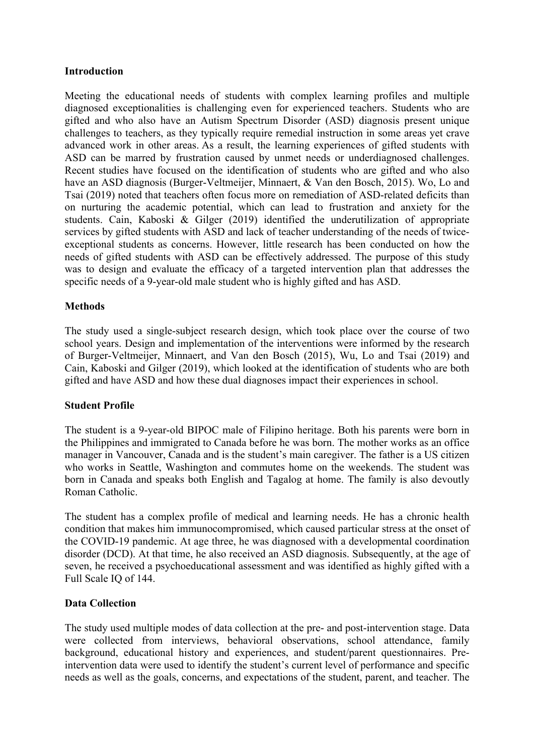# **Introduction**

Meeting the educational needs of students with complex learning profiles and multiple diagnosed exceptionalities is challenging even for experienced teachers. Students who are gifted and who also have an Autism Spectrum Disorder (ASD) diagnosis present unique challenges to teachers, as they typically require remedial instruction in some areas yet crave advanced work in other areas. As a result, the learning experiences of gifted students with ASD can be marred by frustration caused by unmet needs or underdiagnosed challenges. Recent studies have focused on the identification of students who are gifted and who also have an ASD diagnosis (Burger-Veltmeijer, Minnaert, & Van den Bosch, 2015). Wo, Lo and Tsai (2019) noted that teachers often focus more on remediation of ASD-related deficits than on nurturing the academic potential, which can lead to frustration and anxiety for the students. Cain, Kaboski & Gilger (2019) identified the underutilization of appropriate services by gifted students with ASD and lack of teacher understanding of the needs of twiceexceptional students as concerns. However, little research has been conducted on how the needs of gifted students with ASD can be effectively addressed. The purpose of this study was to design and evaluate the efficacy of a targeted intervention plan that addresses the specific needs of a 9-year-old male student who is highly gifted and has ASD.

# **Methods**

The study used a single-subject research design, which took place over the course of two school years. Design and implementation of the interventions were informed by the research of Burger-Veltmeijer, Minnaert, and Van den Bosch (2015), Wu, Lo and Tsai (2019) and Cain, Kaboski and Gilger (2019), which looked at the identification of students who are both gifted and have ASD and how these dual diagnoses impact their experiences in school.

#### **Student Profile**

The student is a 9-year-old BIPOC male of Filipino heritage. Both his parents were born in the Philippines and immigrated to Canada before he was born. The mother works as an office manager in Vancouver, Canada and is the student's main caregiver. The father is a US citizen who works in Seattle, Washington and commutes home on the weekends. The student was born in Canada and speaks both English and Tagalog at home. The family is also devoutly Roman Catholic.

The student has a complex profile of medical and learning needs. He has a chronic health condition that makes him immunocompromised, which caused particular stress at the onset of the COVID-19 pandemic. At age three, he was diagnosed with a developmental coordination disorder (DCD). At that time, he also received an ASD diagnosis. Subsequently, at the age of seven, he received a psychoeducational assessment and was identified as highly gifted with a Full Scale IQ of 144.

### **Data Collection**

The study used multiple modes of data collection at the pre- and post-intervention stage. Data were collected from interviews, behavioral observations, school attendance, family background, educational history and experiences, and student/parent questionnaires. Preintervention data were used to identify the student's current level of performance and specific needs as well as the goals, concerns, and expectations of the student, parent, and teacher. The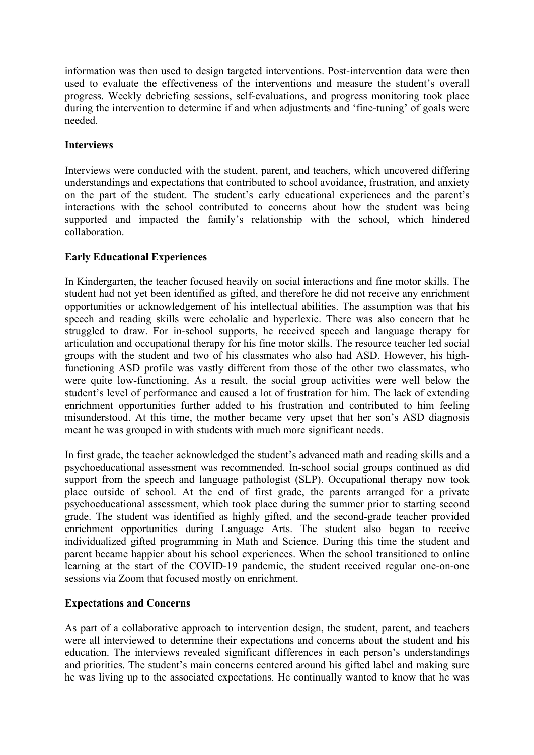information was then used to design targeted interventions. Post-intervention data were then used to evaluate the effectiveness of the interventions and measure the student's overall progress. Weekly debriefing sessions, self-evaluations, and progress monitoring took place during the intervention to determine if and when adjustments and 'fine-tuning' of goals were needed.

# **Interviews**

Interviews were conducted with the student, parent, and teachers, which uncovered differing understandings and expectations that contributed to school avoidance, frustration, and anxiety on the part of the student. The student's early educational experiences and the parent's interactions with the school contributed to concerns about how the student was being supported and impacted the family's relationship with the school, which hindered collaboration.

# **Early Educational Experiences**

In Kindergarten, the teacher focused heavily on social interactions and fine motor skills. The student had not yet been identified as gifted, and therefore he did not receive any enrichment opportunities or acknowledgement of his intellectual abilities. The assumption was that his speech and reading skills were echolalic and hyperlexic. There was also concern that he struggled to draw. For in-school supports, he received speech and language therapy for articulation and occupational therapy for his fine motor skills. The resource teacher led social groups with the student and two of his classmates who also had ASD. However, his highfunctioning ASD profile was vastly different from those of the other two classmates, who were quite low-functioning. As a result, the social group activities were well below the student's level of performance and caused a lot of frustration for him. The lack of extending enrichment opportunities further added to his frustration and contributed to him feeling misunderstood. At this time, the mother became very upset that her son's ASD diagnosis meant he was grouped in with students with much more significant needs.

In first grade, the teacher acknowledged the student's advanced math and reading skills and a psychoeducational assessment was recommended. In-school social groups continued as did support from the speech and language pathologist (SLP). Occupational therapy now took place outside of school. At the end of first grade, the parents arranged for a private psychoeducational assessment, which took place during the summer prior to starting second grade. The student was identified as highly gifted, and the second-grade teacher provided enrichment opportunities during Language Arts. The student also began to receive individualized gifted programming in Math and Science. During this time the student and parent became happier about his school experiences. When the school transitioned to online learning at the start of the COVID-19 pandemic, the student received regular one-on-one sessions via Zoom that focused mostly on enrichment.

# **Expectations and Concerns**

As part of a collaborative approach to intervention design, the student, parent, and teachers were all interviewed to determine their expectations and concerns about the student and his education. The interviews revealed significant differences in each person's understandings and priorities. The student's main concerns centered around his gifted label and making sure he was living up to the associated expectations. He continually wanted to know that he was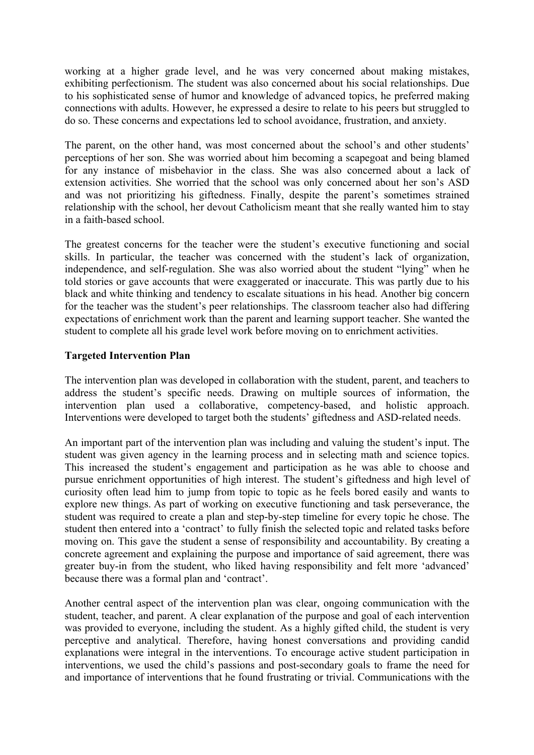working at a higher grade level, and he was very concerned about making mistakes, exhibiting perfectionism. The student was also concerned about his social relationships. Due to his sophisticated sense of humor and knowledge of advanced topics, he preferred making connections with adults. However, he expressed a desire to relate to his peers but struggled to do so. These concerns and expectations led to school avoidance, frustration, and anxiety.

The parent, on the other hand, was most concerned about the school's and other students' perceptions of her son. She was worried about him becoming a scapegoat and being blamed for any instance of misbehavior in the class. She was also concerned about a lack of extension activities. She worried that the school was only concerned about her son's ASD and was not prioritizing his giftedness. Finally, despite the parent's sometimes strained relationship with the school, her devout Catholicism meant that she really wanted him to stay in a faith-based school.

The greatest concerns for the teacher were the student's executive functioning and social skills. In particular, the teacher was concerned with the student's lack of organization, independence, and self-regulation. She was also worried about the student "lying" when he told stories or gave accounts that were exaggerated or inaccurate. This was partly due to his black and white thinking and tendency to escalate situations in his head. Another big concern for the teacher was the student's peer relationships. The classroom teacher also had differing expectations of enrichment work than the parent and learning support teacher. She wanted the student to complete all his grade level work before moving on to enrichment activities.

# **Targeted Intervention Plan**

The intervention plan was developed in collaboration with the student, parent, and teachers to address the student's specific needs. Drawing on multiple sources of information, the intervention plan used a collaborative, competency-based, and holistic approach. Interventions were developed to target both the students' giftedness and ASD-related needs.

An important part of the intervention plan was including and valuing the student's input. The student was given agency in the learning process and in selecting math and science topics. This increased the student's engagement and participation as he was able to choose and pursue enrichment opportunities of high interest. The student's giftedness and high level of curiosity often lead him to jump from topic to topic as he feels bored easily and wants to explore new things. As part of working on executive functioning and task perseverance, the student was required to create a plan and step-by-step timeline for every topic he chose. The student then entered into a 'contract' to fully finish the selected topic and related tasks before moving on. This gave the student a sense of responsibility and accountability. By creating a concrete agreement and explaining the purpose and importance of said agreement, there was greater buy-in from the student, who liked having responsibility and felt more 'advanced' because there was a formal plan and 'contract'.

Another central aspect of the intervention plan was clear, ongoing communication with the student, teacher, and parent. A clear explanation of the purpose and goal of each intervention was provided to everyone, including the student. As a highly gifted child, the student is very perceptive and analytical. Therefore, having honest conversations and providing candid explanations were integral in the interventions. To encourage active student participation in interventions, we used the child's passions and post-secondary goals to frame the need for and importance of interventions that he found frustrating or trivial. Communications with the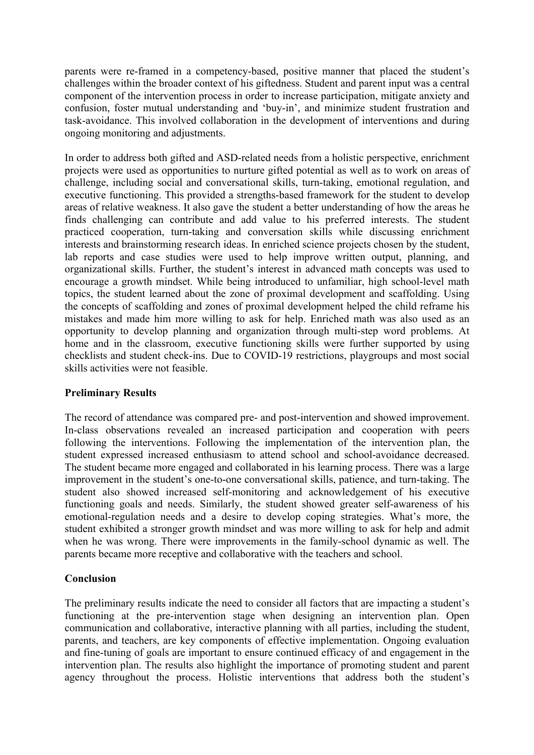parents were re-framed in a competency-based, positive manner that placed the student's challenges within the broader context of his giftedness. Student and parent input was a central component of the intervention process in order to increase participation, mitigate anxiety and confusion, foster mutual understanding and 'buy-in', and minimize student frustration and task-avoidance. This involved collaboration in the development of interventions and during ongoing monitoring and adjustments.

In order to address both gifted and ASD-related needs from a holistic perspective, enrichment projects were used as opportunities to nurture gifted potential as well as to work on areas of challenge, including social and conversational skills, turn-taking, emotional regulation, and executive functioning. This provided a strengths-based framework for the student to develop areas of relative weakness. It also gave the student a better understanding of how the areas he finds challenging can contribute and add value to his preferred interests. The student practiced cooperation, turn-taking and conversation skills while discussing enrichment interests and brainstorming research ideas. In enriched science projects chosen by the student, lab reports and case studies were used to help improve written output, planning, and organizational skills. Further, the student's interest in advanced math concepts was used to encourage a growth mindset. While being introduced to unfamiliar, high school-level math topics, the student learned about the zone of proximal development and scaffolding. Using the concepts of scaffolding and zones of proximal development helped the child reframe his mistakes and made him more willing to ask for help. Enriched math was also used as an opportunity to develop planning and organization through multi-step word problems. At home and in the classroom, executive functioning skills were further supported by using checklists and student check-ins. Due to COVID-19 restrictions, playgroups and most social skills activities were not feasible.

# **Preliminary Results**

The record of attendance was compared pre- and post-intervention and showed improvement. In-class observations revealed an increased participation and cooperation with peers following the interventions. Following the implementation of the intervention plan, the student expressed increased enthusiasm to attend school and school-avoidance decreased. The student became more engaged and collaborated in his learning process. There was a large improvement in the student's one-to-one conversational skills, patience, and turn-taking. The student also showed increased self-monitoring and acknowledgement of his executive functioning goals and needs. Similarly, the student showed greater self-awareness of his emotional-regulation needs and a desire to develop coping strategies. What's more, the student exhibited a stronger growth mindset and was more willing to ask for help and admit when he was wrong. There were improvements in the family-school dynamic as well. The parents became more receptive and collaborative with the teachers and school.

#### **Conclusion**

The preliminary results indicate the need to consider all factors that are impacting a student's functioning at the pre-intervention stage when designing an intervention plan. Open communication and collaborative, interactive planning with all parties, including the student, parents, and teachers, are key components of effective implementation. Ongoing evaluation and fine-tuning of goals are important to ensure continued efficacy of and engagement in the intervention plan. The results also highlight the importance of promoting student and parent agency throughout the process. Holistic interventions that address both the student's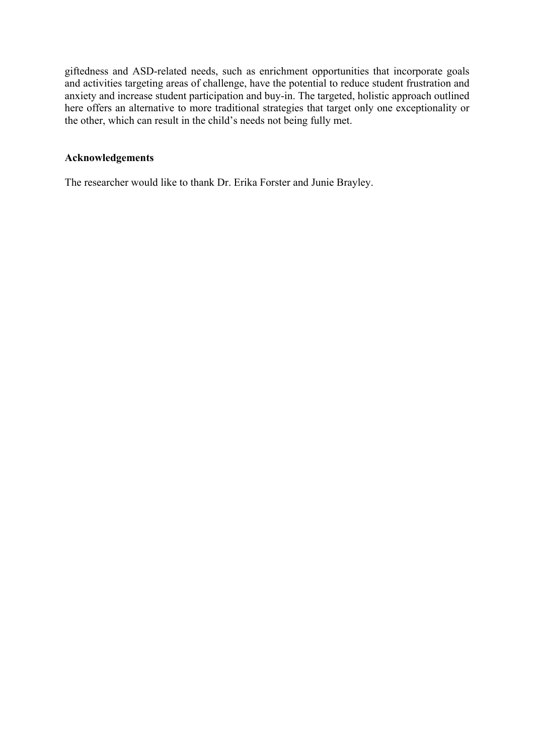giftedness and ASD-related needs, such as enrichment opportunities that incorporate goals and activities targeting areas of challenge, have the potential to reduce student frustration and anxiety and increase student participation and buy-in. The targeted, holistic approach outlined here offers an alternative to more traditional strategies that target only one exceptionality or the other, which can result in the child's needs not being fully met.

# **Acknowledgements**

The researcher would like to thank Dr. Erika Forster and Junie Brayley.